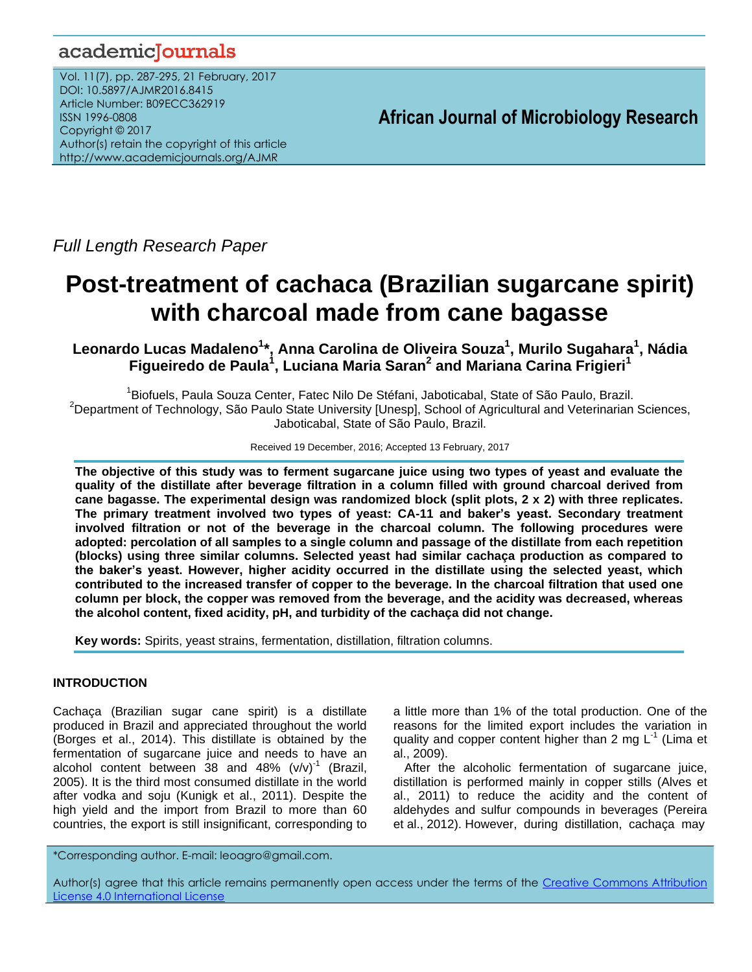# academicJournals

Vol. 11(7), pp. 287-295, 21 February, 2017 DOI: 10.5897/AJMR2016.8415 Article Number: B09ECC362919 ISSN 1996-0808 Copyright © 2017 Author(s) retain the copyright of this article http://www.academicjournals.org/AJMR

**African Journal of Microbiology Research**

*Full Length Research Paper*

# **Post-treatment of cachaca (Brazilian sugarcane spirit) with charcoal made from cane bagasse**

**Leonardo Lucas Madaleno<sup>1</sup> \*, Anna Carolina de Oliveira Souza<sup>1</sup> , Murilo Sugahara<sup>1</sup> , Nádia Figueiredo de Paula<sup>1</sup> , Luciana Maria Saran<sup>2</sup> and Mariana Carina Frigieri<sup>1</sup>**

<sup>1</sup>Biofuels, Paula Souza Center, Fatec Nilo De Stéfani, Jaboticabal, State of São Paulo, Brazil. <sup>2</sup>Department of Technology, São Paulo State University [Unesp], School of Agricultural and Veterinarian Sciences, Jaboticabal, State of São Paulo, Brazil.

Received 19 December, 2016; Accepted 13 February, 2017

**The objective of this study was to ferment sugarcane juice using two types of yeast and evaluate the quality of the distillate after beverage filtration in a column filled with ground charcoal derived from cane bagasse. The experimental design was randomized block (split plots, 2 x 2) with three replicates. The primary treatment involved two types of yeast: CA-11 and baker's yeast. Secondary treatment involved filtration or not of the beverage in the charcoal column. The following procedures were adopted: percolation of all samples to a single column and passage of the distillate from each repetition (blocks) using three similar columns. Selected yeast had similar cachaça production as compared to the baker's yeast. However, higher acidity occurred in the distillate using the selected yeast, which contributed to the increased transfer of copper to the beverage. In the charcoal filtration that used one column per block, the copper was removed from the beverage, and the acidity was decreased, whereas the alcohol content, fixed acidity, pH, and turbidity of the cachaça did not change.**

**Key words:** Spirits, yeast strains, fermentation, distillation, filtration columns.

# **INTRODUCTION**

Cachaça (Brazilian sugar cane spirit) is a distillate produced in Brazil and appreciated throughout the world (Borges et al., 2014). This distillate is obtained by the fermentation of sugarcane juice and needs to have an alcohol content between  $38$  and  $48\%$  (v/v)<sup>-1</sup> (Brazil, 2005). It is the third most consumed distillate in the world after vodka and soju (Kunigk et al., 2011). Despite the high yield and the import from Brazil to more than 60 countries, the export is still insignificant, corresponding to

a little more than 1% of the total production. One of the reasons for the limited export includes the variation in quality and copper content higher than 2 mg  $L^{-1}$  (Lima et al., 2009).

After the alcoholic fermentation of sugarcane juice, distillation is performed mainly in copper stills (Alves et al., 2011) to reduce the acidity and the content of aldehydes and sulfur compounds in beverages (Pereira et al., 2012). However, during distillation, cachaça may

\*Corresponding author. E-mail: leoagro@gmail.com.

Author(s) agree that this article remains permanently open access under the terms of the Creative Commons Attribution [License 4.0 International License](http://creativecommons.org/licenses/by/4.0/deed.en_US)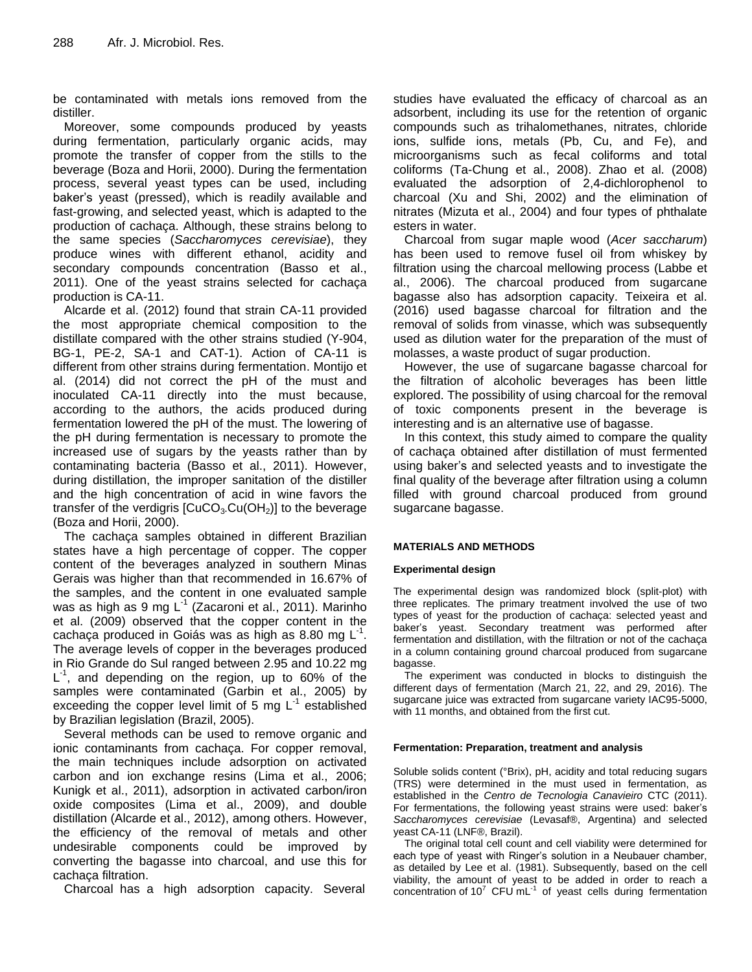be contaminated with metals ions removed from the distiller.

Moreover, some compounds produced by yeasts during fermentation, particularly organic acids, may promote the transfer of copper from the stills to the beverage (Boza and Horii, 2000). During the fermentation process, several yeast types can be used, including baker's yeast (pressed), which is readily available and fast-growing, and selected yeast, which is adapted to the production of cachaça. Although, these strains belong to the same species (*Saccharomyces cerevisiae*), they produce wines with different ethanol, acidity and secondary compounds concentration (Basso et al., 2011). One of the yeast strains selected for cachaça production is CA-11.

Alcarde et al. (2012) found that strain CA-11 provided the most appropriate chemical composition to the distillate compared with the other strains studied (Y-904, BG-1, PE-2, SA-1 and CAT-1). Action of CA-11 is different from other strains during fermentation. Montijo et al. (2014) did not correct the pH of the must and inoculated CA-11 directly into the must because, according to the authors, the acids produced during fermentation lowered the pH of the must. The lowering of the pH during fermentation is necessary to promote the increased use of sugars by the yeasts rather than by contaminating bacteria (Basso et al., 2011). However, during distillation, the improper sanitation of the distiller and the high concentration of acid in wine favors the transfer of the verdigris  $[CuCO<sub>3</sub>.Cu(OH<sub>2</sub>)]$  to the beverage (Boza and Horii, 2000).

The cachaça samples obtained in different Brazilian states have a high percentage of copper. The copper content of the beverages analyzed in southern Minas Gerais was higher than that recommended in 16.67% of the samples, and the content in one evaluated sample was as high as 9 mg L<sup>-1</sup> (Zacaroni et al., 2011). Marinho et al. (2009) observed that the copper content in the cachaça produced in Goiás was as high as 8.80 mg L<sup>-1</sup>. The average levels of copper in the beverages produced in Rio Grande do Sul ranged between 2.95 and 10.22 mg L<sup>-1</sup>, and depending on the region, up to 60% of the samples were contaminated (Garbin et al., 2005) by exceeding the copper level limit of 5 mg  $L^1$  established by Brazilian legislation (Brazil, 2005).

Several methods can be used to remove organic and ionic contaminants from cachaça. For copper removal, the main techniques include adsorption on activated carbon and ion exchange resins (Lima et al., 2006; Kunigk et al., 2011), adsorption in activated carbon/iron oxide composites (Lima et al., 2009), and double distillation (Alcarde et al., 2012), among others. However, the efficiency of the removal of metals and other undesirable components could be improved by converting the bagasse into charcoal, and use this for cachaça filtration.

Charcoal has a high adsorption capacity. Several

studies have evaluated the efficacy of charcoal as an adsorbent, including its use for the retention of organic compounds such as trihalomethanes, nitrates, chloride ions, sulfide ions, metals (Pb, Cu, and Fe), and microorganisms such as fecal coliforms and total coliforms (Ta-Chung et al., 2008). Zhao et al. (2008) evaluated the adsorption of 2,4-dichlorophenol to charcoal (Xu and Shi, 2002) and the elimination of nitrates (Mizuta et al., 2004) and four types of phthalate esters in water.

Charcoal from sugar maple wood (*Acer saccharum*) has been used to remove fusel oil from whiskey by filtration using the charcoal mellowing process (Labbe et al., 2006). The charcoal produced from sugarcane bagasse also has adsorption capacity. Teixeira et al. (2016) used bagasse charcoal for filtration and the removal of solids from vinasse, which was subsequently used as dilution water for the preparation of the must of molasses, a waste product of sugar production.

However, the use of sugarcane bagasse charcoal for the filtration of alcoholic beverages has been little explored. The possibility of using charcoal for the removal of toxic components present in the beverage is interesting and is an alternative use of bagasse.

In this context, this study aimed to compare the quality of cachaça obtained after distillation of must fermented using baker's and selected yeasts and to investigate the final quality of the beverage after filtration using a column filled with ground charcoal produced from ground sugarcane bagasse.

# **MATERIALS AND METHODS**

# **Experimental design**

The experimental design was randomized block (split-plot) with three replicates. The primary treatment involved the use of two types of yeast for the production of cachaça: selected yeast and baker's yeast. Secondary treatment was performed after fermentation and distillation, with the filtration or not of the cachaça in a column containing ground charcoal produced from sugarcane bagasse.

The experiment was conducted in blocks to distinguish the different days of fermentation (March 21, 22, and 29, 2016). The sugarcane juice was extracted from sugarcane variety IAC95-5000, with 11 months, and obtained from the first cut.

#### **Fermentation: Preparation, treatment and analysis**

Soluble solids content (°Brix), pH, acidity and total reducing sugars (TRS) were determined in the must used in fermentation, as established in the *Centro de Tecnologia Canavieiro* CTC (2011). For fermentations, the following yeast strains were used: baker's *Saccharomyces cerevisiae* (Levasaf®, Argentina) and selected yeast CA-11 (LNF®, Brazil).

The original total cell count and cell viability were determined for each type of yeast with Ringer's solution in a Neubauer chamber, as detailed by Lee et al. (1981). Subsequently, based on the cell viability, the amount of yeast to be added in order to reach a concentration of 10<sup>7</sup> CFU mL<sup>-1</sup> of yeast cells during fermentation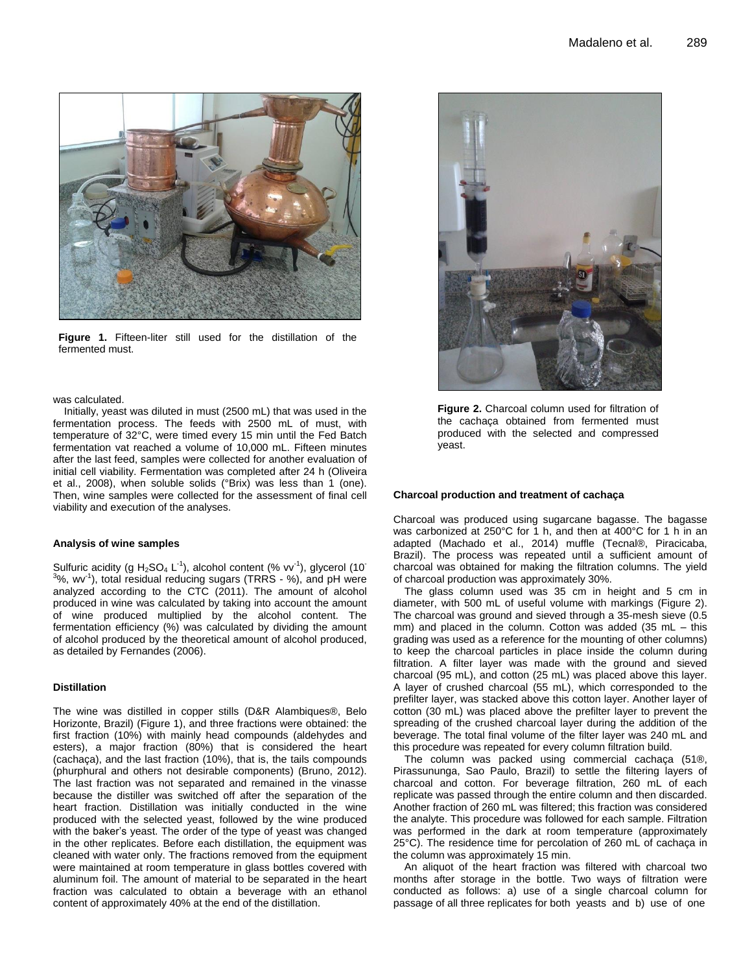

**Figure 1.** Fifteen-liter still used for the distillation of the fermented must.

was calculated.

Initially, yeast was diluted in must (2500 mL) that was used in the fermentation process. The feeds with 2500 mL of must, with temperature of 32°C, were timed every 15 min until the Fed Batch fermentation vat reached a volume of 10,000 mL. Fifteen minutes after the last feed, samples were collected for another evaluation of initial cell viability. Fermentation was completed after 24 h (Oliveira et al., 2008), when soluble solids (°Brix) was less than 1 (one). Then, wine samples were collected for the assessment of final cell viability and execution of the analyses.

#### **Analysis of wine samples**

Sulfuric acidity (g  $H_2SO_4$  L<sup>-1</sup>), alcohol content (% vv<sup>-1</sup>), glycerol (10<sup>-</sup>  $3\%$ , wv<sup>-1</sup>), total residual reducing sugars (TRRS - %), and pH were analyzed according to the CTC (2011). The amount of alcohol produced in wine was calculated by taking into account the amount of wine produced multiplied by the alcohol content. The fermentation efficiency (%) was calculated by dividing the amount of alcohol produced by the theoretical amount of alcohol produced, as detailed by Fernandes (2006).

#### **Distillation**

The wine was distilled in copper stills (D&R Alambiques®, Belo Horizonte, Brazil) (Figure 1), and three fractions were obtained: the first fraction (10%) with mainly head compounds (aldehydes and esters), a major fraction (80%) that is considered the heart (cachaça), and the last fraction (10%), that is, the tails compounds (phurphural and others not desirable components) (Bruno, 2012). The last fraction was not separated and remained in the vinasse because the distiller was switched off after the separation of the heart fraction. Distillation was initially conducted in the wine produced with the selected yeast, followed by the wine produced with the baker's yeast. The order of the type of yeast was changed in the other replicates. Before each distillation, the equipment was cleaned with water only. The fractions removed from the equipment were maintained at room temperature in glass bottles covered with aluminum foil. The amount of material to be separated in the heart fraction was calculated to obtain a beverage with an ethanol content of approximately 40% at the end of the distillation.



**Figure 2.** Charcoal column used for filtration of the cachaça obtained from fermented must produced with the selected and compressed yeast.

#### **Charcoal production and treatment of cachaça**

Charcoal was produced using sugarcane bagasse. The bagasse was carbonized at 250°C for 1 h, and then at 400°C for 1 h in an adapted (Machado et al., 2014) muffle (Tecnal®, Piracicaba, Brazil). The process was repeated until a sufficient amount of charcoal was obtained for making the filtration columns. The yield of charcoal production was approximately 30%.

The glass column used was 35 cm in height and 5 cm in diameter, with 500 mL of useful volume with markings (Figure 2). The charcoal was ground and sieved through a 35-mesh sieve (0.5 mm) and placed in the column. Cotton was added (35 mL – this grading was used as a reference for the mounting of other columns) to keep the charcoal particles in place inside the column during filtration. A filter layer was made with the ground and sieved charcoal (95 mL), and cotton (25 mL) was placed above this layer. A layer of crushed charcoal (55 mL), which corresponded to the prefilter layer, was stacked above this cotton layer. Another layer of cotton (30 mL) was placed above the prefilter layer to prevent the spreading of the crushed charcoal layer during the addition of the beverage. The total final volume of the filter layer was 240 mL and this procedure was repeated for every column filtration build.

The column was packed using commercial cachaça (51®, Pirassununga, Sao Paulo, Brazil) to settle the filtering layers of charcoal and cotton. For beverage filtration, 260 mL of each replicate was passed through the entire column and then discarded. Another fraction of 260 mL was filtered; this fraction was considered the analyte. This procedure was followed for each sample. Filtration was performed in the dark at room temperature (approximately 25°C). The residence time for percolation of 260 mL of cachaça in the column was approximately 15 min.

An aliquot of the heart fraction was filtered with charcoal two months after storage in the bottle. Two ways of filtration were conducted as follows: a) use of a single charcoal column for passage of all three replicates for both yeasts and b) use of one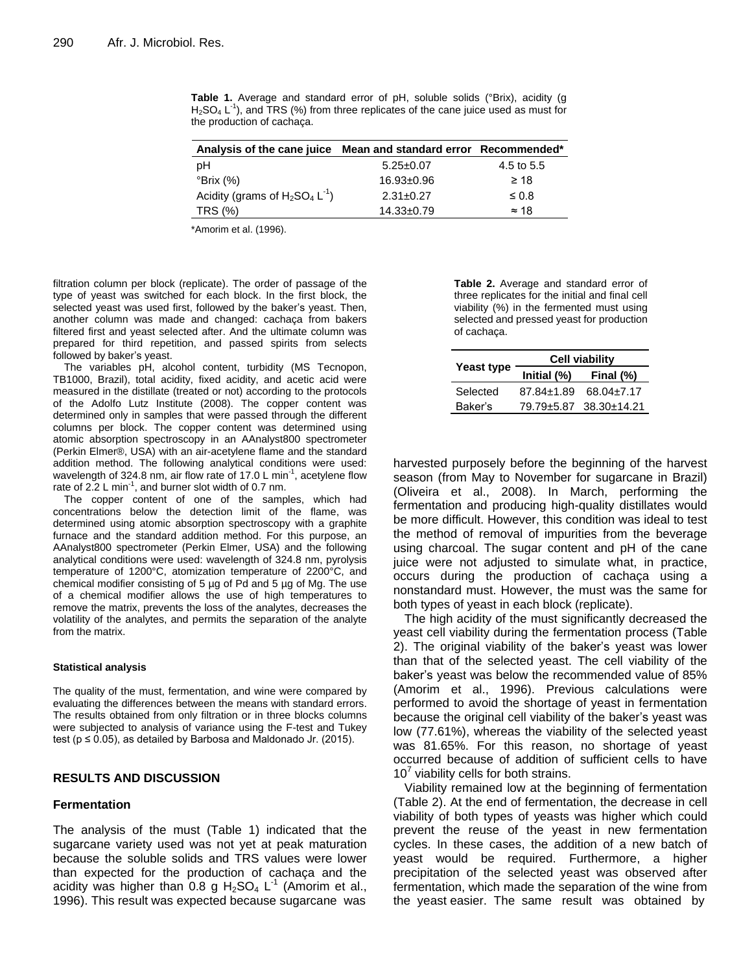| Analysis of the cane juice Mean and standard error Recommended* |                  |              |
|-----------------------------------------------------------------|------------------|--------------|
| рH                                                              | $5.25 \pm 0.07$  | 4.5 to 5.5   |
| °Brix (%)                                                       | $16.93 \pm 0.96$ | $\geq 18$    |
| Acidity (grams of $H_2SO_4 L^{-1}$ )                            | $2.31 \pm 0.27$  | $\leq 0.8$   |
| TRS (%)                                                         | $14.33 \pm 0.79$ | $\approx$ 18 |

**Table 1.** Average and standard error of pH, soluble solids (°Brix), acidity (g  $H<sub>2</sub>SO<sub>4</sub> L<sup>-1</sup>$ ), and TRS (%) from three replicates of the cane juice used as must for the production of cachaça.

\*Amorim et al. (1996).

filtration column per block (replicate). The order of passage of the type of yeast was switched for each block. In the first block, the selected yeast was used first, followed by the baker's yeast. Then, another column was made and changed: cachaça from bakers filtered first and yeast selected after. And the ultimate column was prepared for third repetition, and passed spirits from selects followed by baker's yeast.

The variables pH, alcohol content, turbidity (MS Tecnopon, TB1000, Brazil), total acidity, fixed acidity, and acetic acid were measured in the distillate (treated or not) according to the protocols of the Adolfo Lutz Institute (2008). The copper content was determined only in samples that were passed through the different columns per block. The copper content was determined using atomic absorption spectroscopy in an AAnalyst800 spectrometer (Perkin Elmer®, USA) with an air-acetylene flame and the standard addition method. The following analytical conditions were used: wavelength of 324.8 nm, air flow rate of 17.0 L min<sup>-1</sup>, acetylene flow rate of  $2.2$  L min<sup>-1</sup>, and burner slot width of 0.7 nm.

The copper content of one of the samples, which had concentrations below the detection limit of the flame, was determined using atomic absorption spectroscopy with a graphite furnace and the standard addition method. For this purpose, an AAnalyst800 spectrometer (Perkin Elmer, USA) and the following analytical conditions were used: wavelength of 324.8 nm, pyrolysis temperature of 1200°C, atomization temperature of 2200°C, and chemical modifier consisting of 5 µg of Pd and 5 µg of Mg. The use of a chemical modifier allows the use of high temperatures to remove the matrix, prevents the loss of the analytes, decreases the volatility of the analytes, and permits the separation of the analyte from the matrix.

#### **Statistical analysis**

The quality of the must, fermentation, and wine were compared by evaluating the differences between the means with standard errors. The results obtained from only filtration or in three blocks columns were subjected to analysis of variance using the F-test and Tukey test ( $p \le 0.05$ ), as detailed by Barbosa and Maldonado Jr. (2015).

#### **RESULTS AND DISCUSSION**

#### **Fermentation**

The analysis of the must (Table 1) indicated that the sugarcane variety used was not yet at peak maturation because the soluble solids and TRS values were lower than expected for the production of cachaça and the acidity was higher than 0.8 g  $H_2SO_4$  L<sup>-1</sup> (Amorim et al., 1996). This result was expected because sugarcane was

**Table 2.** Average and standard error of three replicates for the initial and final cell viability (%) in the fermented must using selected and pressed yeast for production of cachaça.

|                   | <b>Cell viability</b> |                        |  |  |  |  |
|-------------------|-----------------------|------------------------|--|--|--|--|
| <b>Yeast type</b> | Initial (%)           | Final $(\%)$           |  |  |  |  |
| Selected          | 87.84+1.89            | 68.04+7.17             |  |  |  |  |
| Baker's           |                       | 79.79+5.87 38.30+14.21 |  |  |  |  |

harvested purposely before the beginning of the harvest season (from May to November for sugarcane in Brazil) (Oliveira et al., 2008). In March, performing the fermentation and producing high-quality distillates would be more difficult. However, this condition was ideal to test the method of removal of impurities from the beverage using charcoal. The sugar content and pH of the cane juice were not adjusted to simulate what, in practice, occurs during the production of cachaça using a nonstandard must. However, the must was the same for both types of yeast in each block (replicate).

The high acidity of the must significantly decreased the yeast cell viability during the fermentation process (Table 2). The original viability of the baker's yeast was lower than that of the selected yeast. The cell viability of the baker's yeast was below the recommended value of 85% (Amorim et al., 1996). Previous calculations were performed to avoid the shortage of yeast in fermentation because the original cell viability of the baker's yeast was low (77.61%), whereas the viability of the selected yeast was 81.65%. For this reason, no shortage of yeast occurred because of addition of sufficient cells to have  $10<sup>7</sup>$  viability cells for both strains.

Viability remained low at the beginning of fermentation (Table 2). At the end of fermentation, the decrease in cell viability of both types of yeasts was higher which could prevent the reuse of the yeast in new fermentation cycles. In these cases, the addition of a new batch of yeast would be required. Furthermore, a higher precipitation of the selected yeast was observed after fermentation, which made the separation of the wine from the yeast easier. The same result was obtained by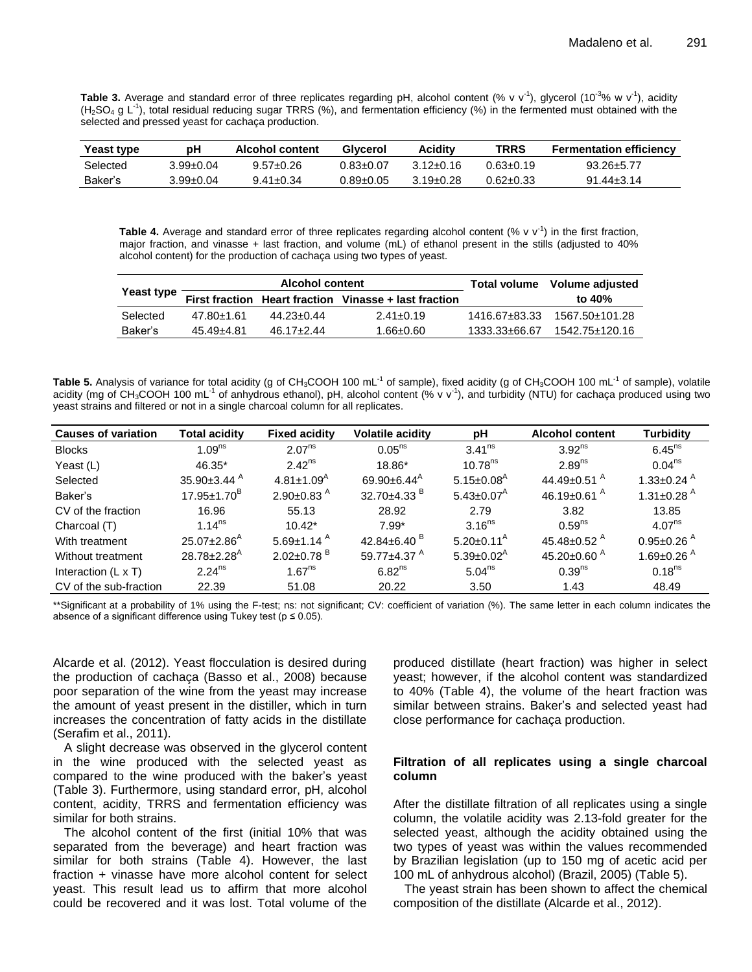Table 3. Average and standard error of three replicates regarding pH, alcohol content (% v v<sup>-1</sup>), glycerol (10<sup>-3</sup>% w v<sup>-1</sup>), acidity (H<sub>2</sub>SO<sub>4</sub> g L<sup>-1</sup>), total residual reducing sugar TRRS (%), and fermentation efficiency (%) in the fermented must obtained with the selected and pressed yeast for cachaça production.

| Yeast type | pН        | <b>Alcohol content</b> | Givcerol        | Acidity       | TRRS      | <b>Fermentation efficiency</b> |
|------------|-----------|------------------------|-----------------|---------------|-----------|--------------------------------|
| Selected   | 3.99±0.04 | $9.57 \pm 0.26$        | 0.83+0.07       | $312 + 016$   | 0.63+0.19 | $93.26 + 5.77$                 |
| Baker's    | 3.99±0.04 | $9.41 \pm 0.34$        | $0.89 \pm 0.05$ | $3.19 + 0.28$ | 0.62±0.33 | $91.44 + 3.14$                 |

Table 4. Average and standard error of three replicates regarding alcohol content  $(% v v<sup>-1</sup>)$  in the first fraction, major fraction, and vinasse + last fraction, and volume (mL) of ethanol present in the stills (adjusted to 40% alcohol content) for the production of cachaça using two types of yeast.

|                   |            | Alcohol content |                                                       | Total volume Volume adjusted |                |  |
|-------------------|------------|-----------------|-------------------------------------------------------|------------------------------|----------------|--|
| <b>Yeast type</b> |            |                 | First fraction Heart fraction Vinasse + last fraction |                              | to 40%         |  |
| Selected          | 47.80+1.61 | 44.23+0.44      | $2.41 \pm 0.19$                                       | 1416.67+83.33                | 1567.50+101.28 |  |
| Baker's           | 45.49±4.81 | $46.17 + 2.44$  | $1.66 \pm 0.60$                                       | 1333.33±66.67                | 1542.75±120.16 |  |

Table 5. Analysis of variance for total acidity (g of CH<sub>3</sub>COOH 100 mL<sup>-1</sup> of sample), fixed acidity (g of CH<sub>3</sub>COOH 100 mL<sup>-1</sup> of sample), volatile acidity (mg of CH<sub>3</sub>COOH 100 mL<sup>-1</sup> of anhydrous ethanol), pH, alcohol content (% v v<sup>-1</sup>), and turbidity (NTU) for cachaça produced using two yeast strains and filtered or not in a single charcoal column for all replicates.

| <b>Causes of variation</b> | Total acidity                 | <b>Fixed acidity</b>         | <b>Volatile acidity</b>       | рH                           | <b>Alcohol content</b>         | <b>Turbidity</b>             |
|----------------------------|-------------------------------|------------------------------|-------------------------------|------------------------------|--------------------------------|------------------------------|
| <b>Blocks</b>              | 1.09 <sup>ns</sup>            | 2.07 <sup>ns</sup>           | $0.05^{ns}$                   | $3.41^{ns}$                  | $3.92^{ns}$                    | $6.45$ <sup>ns</sup>         |
| Yeast (L)                  | 46.35*                        | $2.42^{ns}$                  | 18.86*                        | $10.78^{ns}$                 | 2.89 <sup>ns</sup>             | 0.04 <sup>ns</sup>           |
| Selected                   | $35.90 \pm 3.44$ <sup>A</sup> | $4.81 \pm 1.09$ <sup>A</sup> | $69.90 + 6.44$ <sup>A</sup>   | $5.15 \pm 0.08$ <sup>A</sup> | 44.49 $\pm$ 0.51 $^{\circ}$    | 1.33 $\pm$ 0.24 $^{\circ}$   |
| Baker's                    | $17.95 \pm 1.70^{\circ}$      | $2.90 \pm 0.83$ <sup>A</sup> | 32.70 $\pm$ 4.33 $^{\circ}$   | $5.43 \pm 0.07$ <sup>A</sup> | 46.19 $\pm$ 0.61 <sup>A</sup>  | 1.31 $\pm$ 0.28 <sup>A</sup> |
| CV of the fraction         | 16.96                         | 55.13                        | 28.92                         | 2.79                         | 3.82                           | 13.85                        |
| Charcoal (T)               | 1.14 <sup>ns</sup>            | $10.42*$                     | $7.99*$                       | $3.16^{ns}$                  | $0.59^{ns}$                    | 4.07 <sup>ns</sup>           |
| With treatment             | $25.07 \pm 2.86$ <sup>A</sup> | $5.69 \pm 1.14$ <sup>A</sup> | 42.84 $\pm$ 6.40 <sup>B</sup> | $5.20 \pm 0.11^{\text{A}}$   | 45.48 $\pm$ 0.52 $^{\text{A}}$ | $0.95 \pm 0.26$ <sup>A</sup> |
| Without treatment          | $28.78 \pm 2.28$ <sup>A</sup> | $2.02 \pm 0.78$ <sup>B</sup> | 59.77 $\pm$ 4.37 $^{\circ}$   | $5.39 \pm 0.02^{\text{A}}$   | 45.20 $\pm$ 0.60 <sup>A</sup>  | 1.69 $\pm$ 0.26 <sup>A</sup> |
| Interaction $(L \times T)$ | 2.24 <sup>ns</sup>            | 1.67 <sup>ns</sup>           | 6.82 <sup>ns</sup>            | 5.04 <sup>ns</sup>           | 0.39 <sup>ns</sup>             | 0.18 <sup>ns</sup>           |
| CV of the sub-fraction     | 22.39                         | 51.08                        | 20.22                         | 3.50                         | 1.43                           | 48.49                        |

\*\*Significant at a probability of 1% using the F-test; ns: not significant; CV: coefficient of variation (%). The same letter in each column indicates the absence of a significant difference using Tukey test ( $p \le 0.05$ ).

Alcarde et al. (2012). Yeast flocculation is desired during the production of cachaça (Basso et al., 2008) because poor separation of the wine from the yeast may increase the amount of yeast present in the distiller, which in turn increases the concentration of fatty acids in the distillate (Serafim et al., 2011).

A slight decrease was observed in the glycerol content in the wine produced with the selected yeast as compared to the wine produced with the baker's yeast (Table 3). Furthermore, using standard error, pH, alcohol content, acidity, TRRS and fermentation efficiency was similar for both strains.

The alcohol content of the first (initial 10% that was separated from the beverage) and heart fraction was similar for both strains (Table 4). However, the last fraction + vinasse have more alcohol content for select yeast. This result lead us to affirm that more alcohol could be recovered and it was lost. Total volume of the

produced distillate (heart fraction) was higher in select yeast; however, if the alcohol content was standardized to 40% (Table 4), the volume of the heart fraction was similar between strains. Baker's and selected yeast had close performance for cachaça production.

# **Filtration of all replicates using a single charcoal column**

After the distillate filtration of all replicates using a single column, the volatile acidity was 2.13-fold greater for the selected yeast, although the acidity obtained using the two types of yeast was within the values recommended by Brazilian legislation (up to 150 mg of acetic acid per 100 mL of anhydrous alcohol) (Brazil, 2005) (Table 5).

The yeast strain has been shown to affect the chemical composition of the distillate (Alcarde et al., 2012).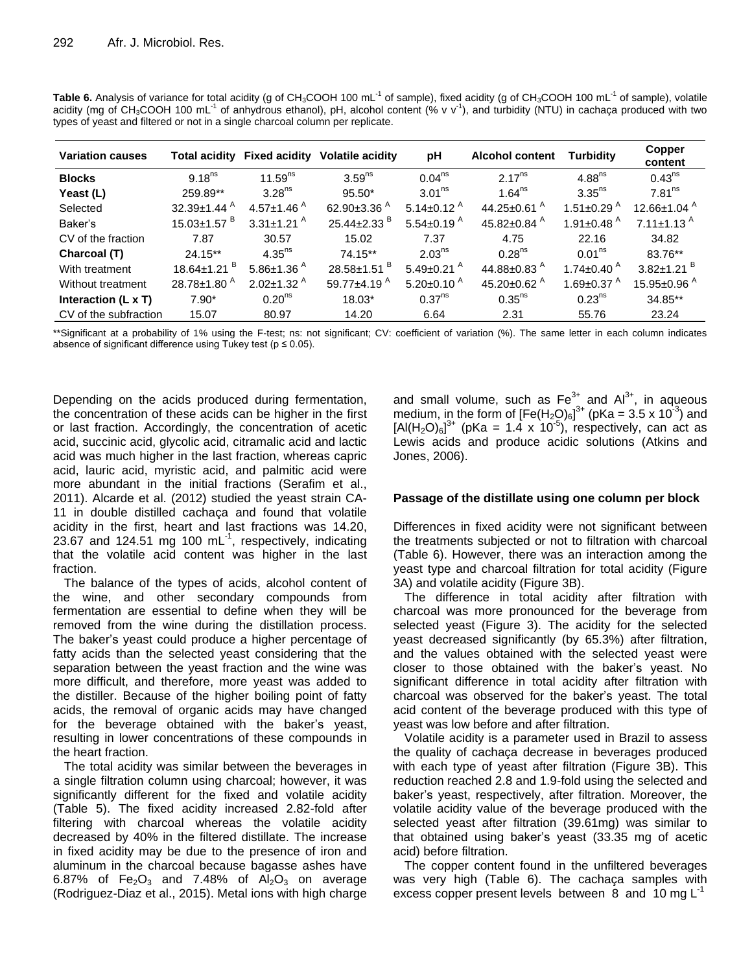| <b>Variation causes</b>                                                                                                                                                                                                                                                                                                                                                                                                                                         |  | Total acidity Fixed acidity Volatile acidity | рH | <b>Alcohol content Turbidity</b> | <b>Copper</b><br><b>A</b> And And |
|-----------------------------------------------------------------------------------------------------------------------------------------------------------------------------------------------------------------------------------------------------------------------------------------------------------------------------------------------------------------------------------------------------------------------------------------------------------------|--|----------------------------------------------|----|----------------------------------|-----------------------------------|
| Table 6. Analysis of variance for total acidity (g of CH <sub>3</sub> COOH 100 mL <sup>-1</sup> of sample), fixed acidity (g of CH <sub>3</sub> COOH 100 mL <sup>-1</sup> of sample), volatile<br>acidity (mg of CH <sub>3</sub> COOH 100 mL <sup>-1</sup> of anhydrous ethanol), pH, alcohol content (% v v <sup>-1</sup> ), and turbidity (NTU) in cachaça produced with two<br>types of yeast and filtered or not in a single charcoal column per replicate. |  |                                              |    |                                  |                                   |

| <b>Variation causes</b>    |                               | Total acidity Fixed acidity  | Volatile acidity              | рH                           | <b>Alcohol content</b>         | Turbiditv                     | -----<br>content              |
|----------------------------|-------------------------------|------------------------------|-------------------------------|------------------------------|--------------------------------|-------------------------------|-------------------------------|
| <b>Blocks</b>              | $9.18^{ns}$                   | 11.59 $ns$                   | 3.59 <sup>ns</sup>            | 0.04 <sup>ns</sup>           | $2.17^{ns}$                    | 4.88 <sup>ns</sup>            | $0.43^{ns}$                   |
| Yeast (L)                  | 259.89**                      | $3.28^{ns}$                  | $95.50*$                      | $3.01^{ns}$                  | 1.64 <sup>ns</sup>             | $3.35^{ns}$                   | 7.81 <sup>ns</sup>            |
| Selected                   | $32.39 \pm 1.44$ <sup>A</sup> | $4.57 \pm 1.46$ <sup>A</sup> | 62.90 $\pm$ 3.36 $^{A}$       | 5.14 $\pm$ 0.12 <sup>A</sup> | 44.25 $\pm$ 0.61 $^{\circ}$    | 1.51 $\pm$ 0.29 <sup>A</sup>  | 12.66 $\pm$ 1.04 $^{A}$       |
| Baker's                    | $15.03 \pm 1.57$ <sup>B</sup> | $3.31 \pm 1.21$ <sup>A</sup> | $25.44 \pm 2.33$ <sup>B</sup> | $5.54 \pm 0.19$ <sup>A</sup> | 45.82 $\pm$ 0.84 $^{A}$        | 1.91 $\pm$ 0.48 <sup>A</sup>  | 7.11 $\pm$ 1.13 <sup>A</sup>  |
| CV of the fraction         | 7.87                          | 30.57                        | 15.02                         | 7.37                         | 4.75                           | 22.16                         | 34.82                         |
| Charcoal (T)               | $24.15**$                     | $4.35^{ns}$                  | $74.15**$                     | $2.03^{ns}$                  | $0.28^{ns}$                    | 0.01 <sup>ns</sup>            | 83.76**                       |
| With treatment             | 18.64±1.21 <sup>B</sup>       | $5.86 \pm 1.36$ <sup>A</sup> | 28.58 $\pm$ 1.51 $^{\circ}$   | $5.49 \pm 0.21$ <sup>A</sup> | 44.88 $\pm$ 0.83 <sup>A</sup>  | 1.74 $\pm$ 0.40 <sup>A</sup>  | $3.82 \pm 1.21$ <sup>B</sup>  |
| Without treatment          | $28.78 \pm 1.80$ <sup>A</sup> | $2.02 \pm 1.32$ <sup>A</sup> | 59.77 $\pm$ 4.19 <sup>A</sup> | $5.20 \pm 0.10^{A}$          | 45.20 $\pm$ 0.62 $^{\text{A}}$ | 1.69 $\pm$ 0.37 $^{\text{A}}$ | 15.95 $\pm$ 0.96 <sup>A</sup> |
| Interaction $(L \times T)$ | $7.90*$                       | 0.20 <sup>ns</sup>           | 18.03*                        | 0.37 <sup>ns</sup>           | $0.35$ <sup>ns</sup>           | 0.23 <sup>ns</sup>            | 34.85**                       |
| CV of the subfraction      | 15.07                         | 80.97                        | 14.20                         | 6.64                         | 2.31                           | 55.76                         | 23.24                         |

\*\*Significant at a probability of 1% using the F-test; ns: not significant; CV: coefficient of variation (%). The same letter in each column indicates absence of significant difference using Tukey test ( $p \le 0.05$ ).

Depending on the acids produced during fermentation, the concentration of these acids can be higher in the first or last fraction. Accordingly, the concentration of acetic acid, succinic acid, glycolic acid, citramalic acid and lactic acid was much higher in the last fraction, whereas capric acid, lauric acid, myristic acid, and palmitic acid were more abundant in the initial fractions (Serafim et al., 2011). Alcarde et al. (2012) studied the yeast strain CA-11 in double distilled cachaça and found that volatile acidity in the first, heart and last fractions was 14.20, 23.67 and 124.51 mg 100 mL $^{-1}$ , respectively, indicating that the volatile acid content was higher in the last fraction.

The balance of the types of acids, alcohol content of the wine, and other secondary compounds from fermentation are essential to define when they will be removed from the wine during the distillation process. The baker's yeast could produce a higher percentage of fatty acids than the selected yeast considering that the separation between the yeast fraction and the wine was more difficult, and therefore, more yeast was added to the distiller. Because of the higher boiling point of fatty acids, the removal of organic acids may have changed for the beverage obtained with the baker's yeast, resulting in lower concentrations of these compounds in the heart fraction.

The total acidity was similar between the beverages in a single filtration column using charcoal; however, it was significantly different for the fixed and volatile acidity (Table 5). The fixed acidity increased 2.82-fold after filtering with charcoal whereas the volatile acidity decreased by 40% in the filtered distillate. The increase in fixed acidity may be due to the presence of iron and aluminum in the charcoal because bagasse ashes have 6.87% of Fe<sub>2</sub>O<sub>3</sub> and 7.48% of  $Al_2O_3$  on average (Rodriguez-Diaz et al., 2015). Metal ions with high charge

and small volume, such as  $Fe^{3+}$  and  $Al^{3+}$ , in aqueous medium, in the form of  $[Fe(H<sub>2</sub>O)<sub>6</sub>]<sup>3+</sup>$  (pKa = 3.5 x 10<sup>-3</sup>) and  $[A|(H_2O)_6]^{3+}$  (pKa = 1.4 x 10<sup>-5</sup>), respectively, can act as Lewis acids and produce acidic solutions (Atkins and Jones, 2006).

# **Passage of the distillate using one column per block**

Differences in fixed acidity were not significant between the treatments subjected or not to filtration with charcoal (Table 6). However, there was an interaction among the yeast type and charcoal filtration for total acidity (Figure 3A) and volatile acidity (Figure 3B).

The difference in total acidity after filtration with charcoal was more pronounced for the beverage from selected yeast (Figure 3). The acidity for the selected yeast decreased significantly (by 65.3%) after filtration, and the values obtained with the selected yeast were closer to those obtained with the baker's yeast. No significant difference in total acidity after filtration with charcoal was observed for the baker's yeast. The total acid content of the beverage produced with this type of yeast was low before and after filtration.

Volatile acidity is a parameter used in Brazil to assess the quality of cachaça decrease in beverages produced with each type of yeast after filtration (Figure 3B). This reduction reached 2.8 and 1.9-fold using the selected and baker's yeast, respectively, after filtration. Moreover, the volatile acidity value of the beverage produced with the selected yeast after filtration (39.61mg) was similar to that obtained using baker's yeast (33.35 mg of acetic acid) before filtration.

The copper content found in the unfiltered beverages was very high (Table 6). The cachaça samples with excess copper present levels between  $8$  and 10 mg  $L^{-1}$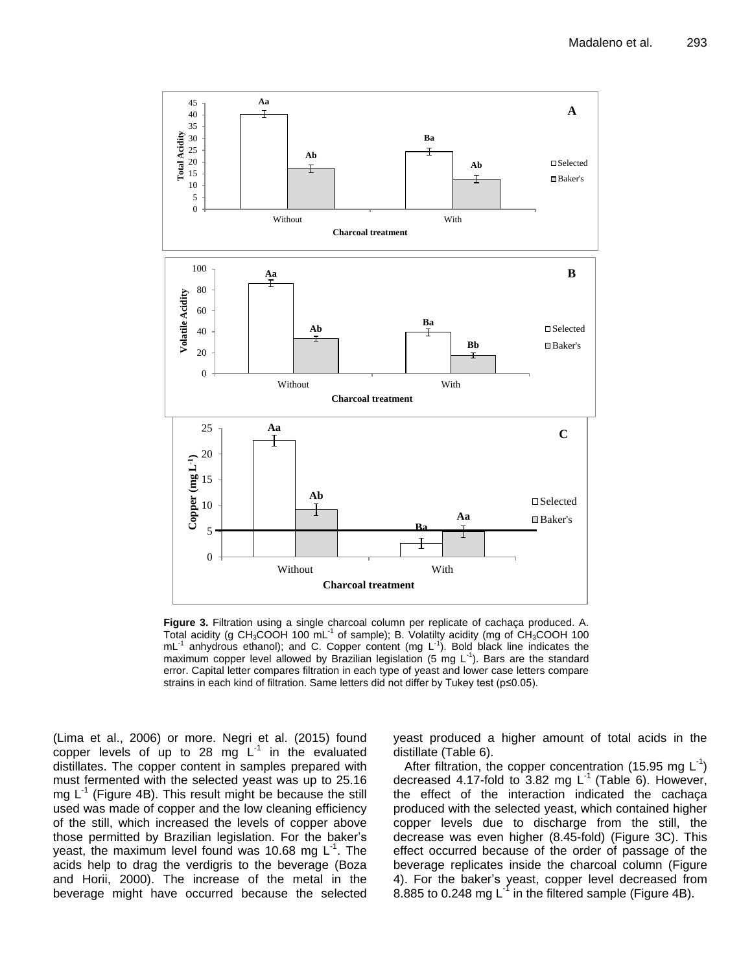

**Figure 3.** Filtration using a single charcoal column per replicate of cachaça produced. A. **Figure 3.** Filtration using a single charcoal column per replicate of cachaça produced. **A**. Total acidity (g CH3COOH 100 mL-1 of sample); B. Volatilty acidity (mg of CH3COOH 100 Total acidity (g CH3COOH 100 mL-1 of sample); **B**. Volatilty acidity (mg of CH3COOH 100  $mL^{-1}$ anhydrous ethanol); and C. Copper content (mg L-1 ). Bold black line indicates the anhydrous ethanol); and **C**. Copper content (mg L-1 ). Bold black line indicates the maximum copper level allowed by Brazilian legislation (5 mg L<sup>-1</sup>). Bars are the standard error. Capital letter compares filtration in each type of yeast and lower case letters compare error. Capital letter compares filtration in each type of yeast and lower case letters compare strains in each kind of filtration. Same letters did not differ by Tukey test (p≤0.05). strains in each kind of filtration. Same

(Lima et al., 2006) or more. Negri et al. (2015) found copper levels of up to 28 mg  $L^{-1}$  in the evaluated distillates. The copper content in samples prepared with must fermented with the selected yeast was up to 25.16 mg  $L^{-1}$  (Figure 4B). This result might be because the still used was made of copper and the low cleaning efficiency of the still, which increased the levels of copper above those permitted by Brazilian legislation. For the baker's yeast, the maximum level found was 10.68 mg  $L^1$ . The acids help to drag the verdigris to the beverage (Boza and Horii, 2000). The increase of the metal in the beverage might have occurred because the selected

yeast produced a higher amount of total acids in the distillate (Table 6).

After filtration, the copper concentration (15.95 mg  $L^{-1}$ ) decreased 4.17-fold to 3.82 mg  $L^1$  (Table 6). However, the effect of the interaction indicated the cachaça produced with the selected yeast, which contained higher copper levels due to discharge from the still, the decrease was even higher (8.45-fold) (Figure 3C). This effect occurred because of the order of passage of the beverage replicates inside the charcoal column (Figure 4). For the baker's yeast, copper level decreased from 8.885 to 0.248 mg L<sup>-1</sup> in the filtered sample (Figure 4B).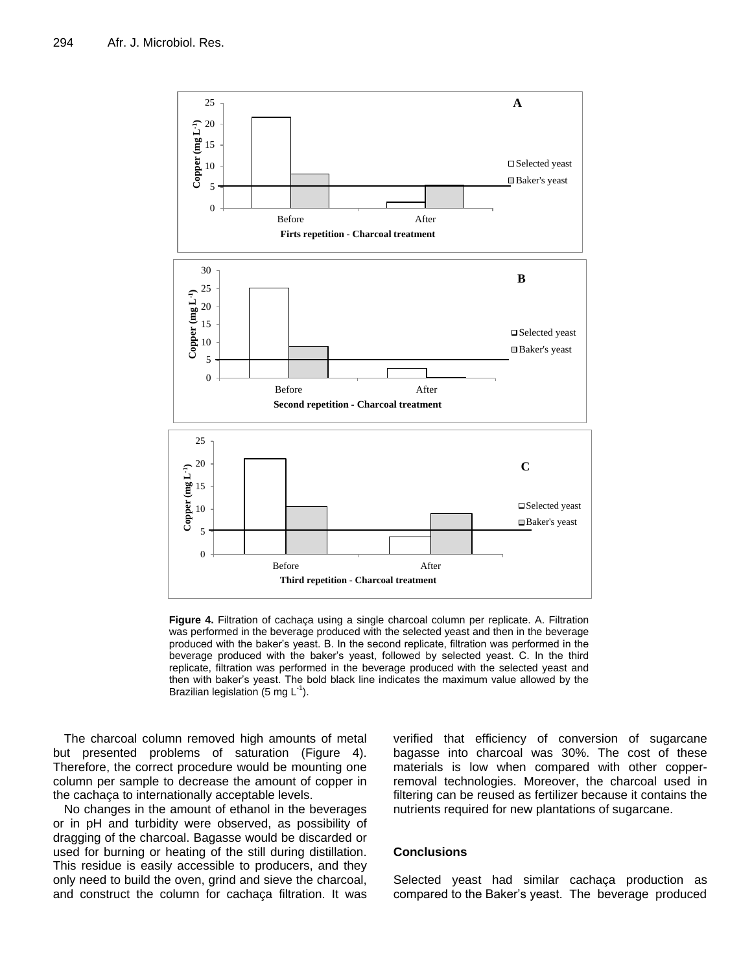

**Figure 4.** Filtration of cachaça using a single charcoal column per replicate. A. Filtration was performed in the beverage produced with the selected yeast and then in the beverage produced with the baker's yeast. B. In the second replicate, filtration was performed in the<br>personal produced with the selected yearst and the selected yearst  $\mathcal{L}$  in the third beverage produced with the baker's yeast, followed by selected yeast. C. In the third replicate, filtration was performed in the beverage produced with the selected yeast and then with baker's yeast. The bold black line indicates the maximum value allowed by the Brazilian legislation (5 mg  $L^{-1}$ ).

The charcoal column removed high amounts of metal but presented problems of saturation (Figure 4). Therefore, the correct procedure would be mounting one column per sample to decrease the amount of copper in the cachaça to internationally acceptable levels.

No changes in the amount of ethanol in the beverages or in pH and turbidity were observed, as possibility of dragging of the charcoal. Bagasse would be discarded or used for burning or heating of the still during distillation. This residue is easily accessible to producers, and they only need to build the oven, grind and sieve the charcoal, and construct the column for cachaça filtration. It was verified that efficiency of conversion of sugarcane bagasse into charcoal was 30%. The cost of these materials is low when compared with other copperremoval technologies. Moreover, the charcoal used in filtering can be reused as fertilizer because it contains the nutrients required for new plantations of sugarcane.

### **Conclusions**

Selected yeast had similar cachaça production as compared to the Baker's yeast. The beverage produced